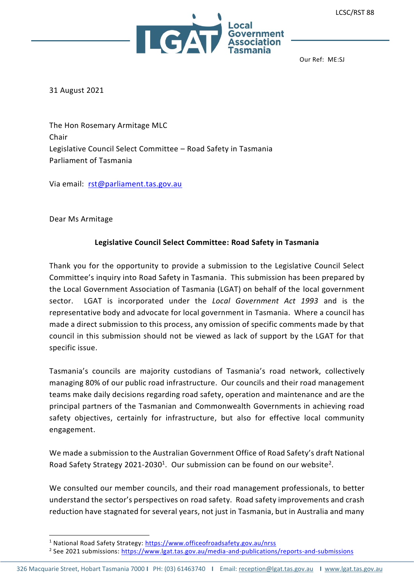

Our Ref: ME:SJ

31 August 2021

The Hon Rosemary Armitage MLC Chair Legislative Council Select Committee – Road Safety in Tasmania Parliament of Tasmania

Via email: [rst@parliament.tas.gov.au](mailto:rst@parliament.tas.gov.au)

Dear Ms Armitage

#### **Legislative Council Select Committee: Road Safety in Tasmania**

Thank you for the opportunity to provide a submission to the Legislative Council Select Committee's inquiry into Road Safety in Tasmania. This submission has been prepared by the Local Government Association of Tasmania (LGAT) on behalf of the local government sector. LGAT is incorporated under the *Local Government Act 1993* and is the representative body and advocate for local government in Tasmania. Where a council has made a direct submission to this process, any omission of specific comments made by that council in this submission should not be viewed as lack of support by the LGAT for that specific issue.

Tasmania's councils are majority custodians of Tasmania's road network, collectively managing 80% of our public road infrastructure. Our councils and their road management teams make daily decisions regarding road safety, operation and maintenance and are the principal partners of the Tasmanian and Commonwealth Governments in achieving road safety objectives, certainly for infrastructure, but also for effective local community engagement.

We made a submission to the Australian Government Office of Road Safety's draft National Road Safety Strategy 2021-2030<sup>1</sup>. Our submission can be found on our website<sup>2</sup>.

We consulted our member councils, and their road management professionals, to better understand the sector's perspectives on road safety. Road safety improvements and crash reduction have stagnated for several years, not just in Tasmania, but in Australia and many

<sup>&</sup>lt;sup>1</sup> National Road Safety Strategy:<https://www.officeofroadsafety.gov.au/nrss>

<sup>&</sup>lt;sup>2</sup> See 2021 submissions: <u>https://www.lgat.tas.gov.au/media-and-publications/reports-and-submissions</u>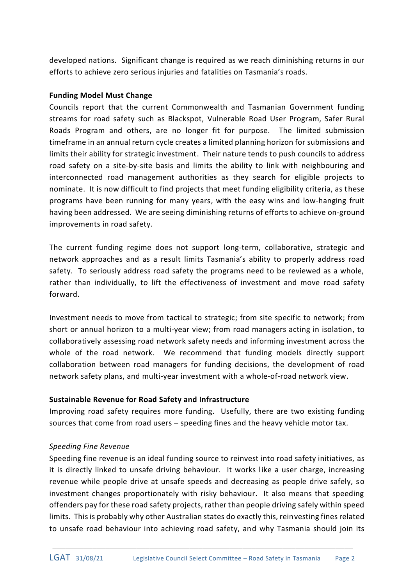developed nations. Significant change is required as we reach diminishing returns in our efforts to achieve zero serious injuries and fatalities on Tasmania's roads.

#### **Funding Model Must Change**

Councils report that the current Commonwealth and Tasmanian Government funding streams for road safety such as Blackspot, Vulnerable Road User Program, Safer Rural Roads Program and others, are no longer fit for purpose. The limited submission timeframe in an annual return cycle creates a limited planning horizon for submissions and limits their ability for strategic investment. Their nature tends to push councils to address road safety on a site-by-site basis and limits the ability to link with neighbouring and interconnected road management authorities as they search for eligible projects to nominate. It is now difficult to find projects that meet funding eligibility criteria, as these programs have been running for many years, with the easy wins and low-hanging fruit having been addressed. We are seeing diminishing returns of efforts to achieve on-ground improvements in road safety.

The current funding regime does not support long-term, collaborative, strategic and network approaches and as a result limits Tasmania's ability to properly address road safety. To seriously address road safety the programs need to be reviewed as a whole, rather than individually, to lift the effectiveness of investment and move road safety forward.

Investment needs to move from tactical to strategic; from site specific to network; from short or annual horizon to a multi-year view; from road managers acting in isolation, to collaboratively assessing road network safety needs and informing investment across the whole of the road network. We recommend that funding models directly support collaboration between road managers for funding decisions, the development of road network safety plans, and multi-year investment with a whole-of-road network view.

# **Sustainable Revenue for Road Safety and Infrastructure**

Improving road safety requires more funding. Usefully, there are two existing funding sources that come from road users – speeding fines and the heavy vehicle motor tax.

# *Speeding Fine Revenue*

Speeding fine revenue is an ideal funding source to reinvest into road safety initiatives, as it is directly linked to unsafe driving behaviour. It works like a user charge, increasing revenue while people drive at unsafe speeds and decreasing as people drive safely, so investment changes proportionately with risky behaviour. It also means that speeding offenders pay for these road safety projects, rather than people driving safely within speed limits. This is probably why other Australian states do exactly this, reinvesting fines related to unsafe road behaviour into achieving road safety, and why Tasmania should join its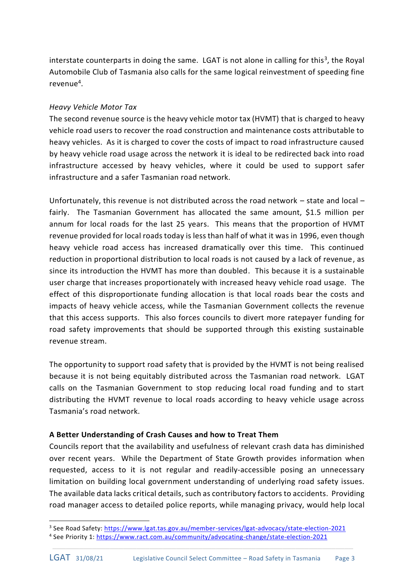interstate counterparts in doing the same. LGAT is not alone in calling for this<sup>3</sup>, the Royal Automobile Club of Tasmania also calls for the same logical reinvestment of speeding fine revenue<sup>4</sup>.

# *Heavy Vehicle Motor Tax*

The second revenue source is the heavy vehicle motor tax (HVMT) that is charged to heavy vehicle road users to recover the road construction and maintenance costs attributable to heavy vehicles. As it is charged to cover the costs of impact to road infrastructure caused by heavy vehicle road usage across the network it is ideal to be redirected back into road infrastructure accessed by heavy vehicles, where it could be used to support safer infrastructure and a safer Tasmanian road network.

Unfortunately, this revenue is not distributed across the road network – state and local – fairly. The Tasmanian Government has allocated the same amount, \$1.5 million per annum for local roads for the last 25 years. This means that the proportion of HVMT revenue provided for local roads today is less than half of what it was in 1996, even though heavy vehicle road access has increased dramatically over this time. This continued reduction in proportional distribution to local roads is not caused by a lack of revenue, as since its introduction the HVMT has more than doubled. This because it is a sustainable user charge that increases proportionately with increased heavy vehicle road usage. The effect of this disproportionate funding allocation is that local roads bear the costs and impacts of heavy vehicle access, while the Tasmanian Government collects the revenue that this access supports. This also forces councils to divert more ratepayer funding for road safety improvements that should be supported through this existing sustainable revenue stream.

The opportunity to support road safety that is provided by the HVMT is not being realised because it is not being equitably distributed across the Tasmanian road network. LGAT calls on the Tasmanian Government to stop reducing local road funding and to start distributing the HVMT revenue to local roads according to heavy vehicle usage across Tasmania's road network.

# **A Better Understanding of Crash Causes and how to Treat Them**

Councils report that the availability and usefulness of relevant crash data has diminished over recent years. While the Department of State Growth provides information when requested, access to it is not regular and readily-accessible posing an unnecessary limitation on building local government understanding of underlying road safety issues. The available data lacks critical details, such as contributory factors to accidents. Providing road manager access to detailed police reports, while managing privacy, would help local

*\_\_\_\_\_\_\_\_\_\_\_\_\_\_\_\_\_\_\_\_\_\_\_\_\_\_\_\_\_\_\_\_\_\_\_\_\_\_\_\_\_\_\_\_\_\_\_\_\_\_\_\_\_\_\_\_\_\_\_\_\_\_\_\_\_\_\_\_*

<sup>&</sup>lt;sup>3</sup> See Road Safety: <u>https://www.lgat.tas.gov.au/member-services/lgat-advocacy/state-election-2021</u>

<sup>&</sup>lt;sup>4</sup> See Priority 1: <u>https://www.ract.com.au/community/advocating-change/state-election-2021</u>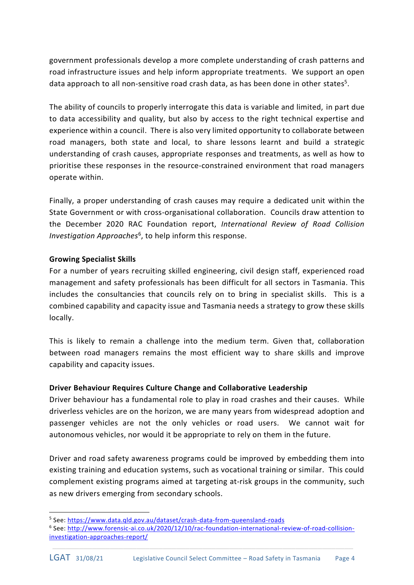government professionals develop a more complete understanding of crash patterns and road infrastructure issues and help inform appropriate treatments. We support an open data approach to all non-sensitive road crash data, as has been done in other states<sup>5</sup>.

The ability of councils to properly interrogate this data is variable and limited, in part due to data accessibility and quality, but also by access to the right technical expertise and experience within a council. There is also very limited opportunity to collaborate between road managers, both state and local, to share lessons learnt and build a strategic understanding of crash causes, appropriate responses and treatments, as well as how to prioritise these responses in the resource-constrained environment that road managers operate within.

Finally, a proper understanding of crash causes may require a dedicated unit within the State Government or with cross-organisational collaboration. Councils draw attention to the December 2020 RAC Foundation report, *International Review of Road Collision*  Investigation Approaches<sup>6</sup>, to help inform this response.

#### **Growing Specialist Skills**

For a number of years recruiting skilled engineering, civil design staff, experienced road management and safety professionals has been difficult for all sectors in Tasmania. This includes the consultancies that councils rely on to bring in specialist skills. This is a combined capability and capacity issue and Tasmania needs a strategy to grow these skills locally.

This is likely to remain a challenge into the medium term. Given that, collaboration between road managers remains the most efficient way to share skills and improve capability and capacity issues.

# **Driver Behaviour Requires Culture Change and Collaborative Leadership**

Driver behaviour has a fundamental role to play in road crashes and their causes. While driverless vehicles are on the horizon, we are many years from widespread adoption and passenger vehicles are not the only vehicles or road users. We cannot wait for autonomous vehicles, nor would it be appropriate to rely on them in the future.

Driver and road safety awareness programs could be improved by embedding them into existing training and education systems, such as vocational training or similar. This could complement existing programs aimed at targeting at-risk groups in the community, such as new drivers emerging from secondary schools.

<sup>&</sup>lt;sup>5</sup> See: <u>https://www.data.qld.gov.au/dataset/crash-data-from-queensland-roads</u>

<sup>&</sup>lt;sup>6</sup> See: <u>http://www.forensic-ai.co.uk/2020/12/10/rac-foundation-international-review-of-road-collision-</u> [investigation-approaches-report/](http://www.forensic-ai.co.uk/2020/12/10/rac-foundation-international-review-of-road-collision-investigation-approaches-report/)